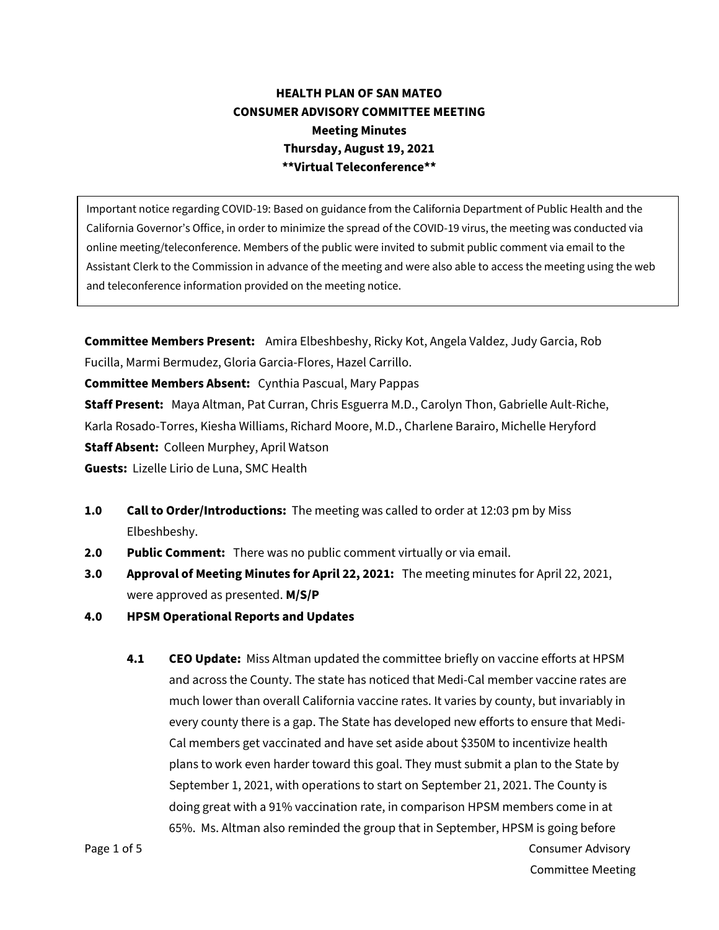## **HEALTH PLAN OF SAN MATEO CONSUMER ADVISORY COMMITTEE MEETING Meeting Minutes Thursday, August 19, 2021 \*\*Virtual Teleconference\*\***

Important notice regarding COVID-19: Based on guidance from the California Department of Public Health and the California Governor's Office, in order to minimize the spread of the COVID-19 virus, the meeting was conducted via online meeting/teleconference. Members of the public were invited to submit public comment via email to the Assistant Clerk to the Commission in advance of the meeting and were also able to access the meeting using the web and teleconference information provided on the meeting notice.

**Committee Members Present:** Amira Elbeshbeshy, Ricky Kot, Angela Valdez, Judy Garcia, Rob Fucilla, Marmi Bermudez, Gloria Garcia-Flores, Hazel Carrillo.

**Committee Members Absent:** Cynthia Pascual, Mary Pappas

**Staff Present:** Maya Altman, Pat Curran, Chris Esguerra M.D., Carolyn Thon, Gabrielle Ault-Riche, Karla Rosado-Torres, Kiesha Williams, Richard Moore, M.D., Charlene Barairo, Michelle Heryford **Staff Absent:** Colleen Murphey, April Watson **Guests:** Lizelle Lirio de Luna, SMC Health

- **1.0 Call to Order/Introductions:** The meeting was called to order at 12:03 pm by Miss Elbeshbeshy.
- **2.0 Public Comment:** There was no public comment virtually or via email.
- **3.0 Approval of Meeting Minutes for April 22, 2021:** The meeting minutes for April 22, 2021, were approved as presented. **M/S/P**
- **4.0 HPSM Operational Reports and Updates**
- Page 1 of 5 Consumer Advisory **4.1 CEO Update:** Miss Altman updated the committee briefly on vaccine efforts at HPSM and across the County. The state has noticed that Medi-Cal member vaccine rates are much lower than overall California vaccine rates. It varies by county, but invariably in every county there is a gap. The State has developed new efforts to ensure that Medi-Cal members get vaccinated and have set aside about \$350M to incentivize health plans to work even harder toward this goal. They must submit a plan to the State by September 1, 2021, with operations to start on September 21, 2021. The County is doing great with a 91% vaccination rate, in comparison HPSM members come in at 65%. Ms. Altman also reminded the group that in September, HPSM is going before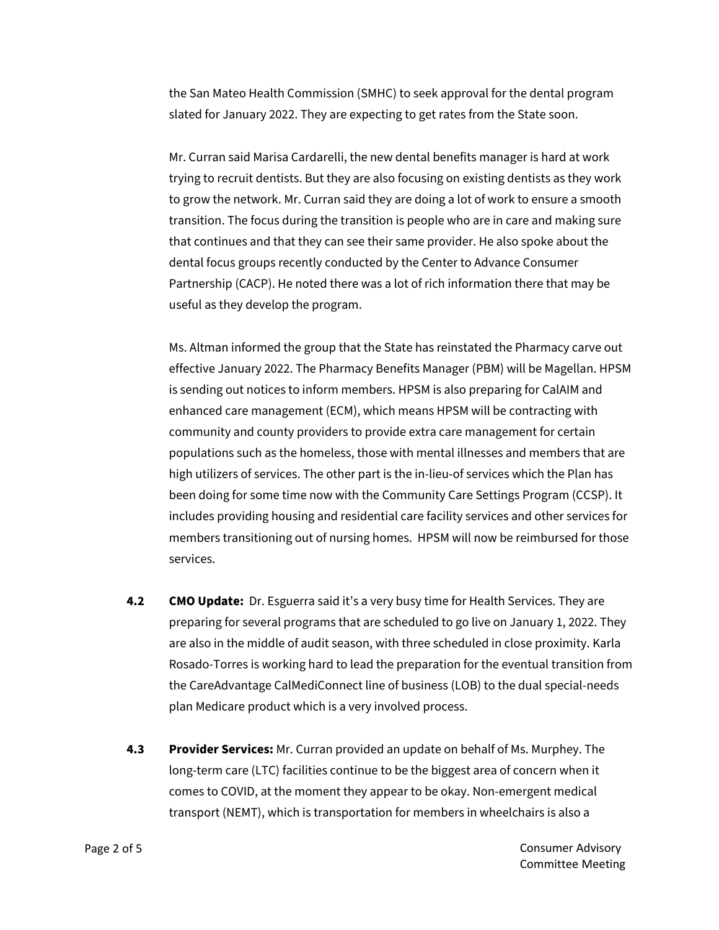the San Mateo Health Commission (SMHC) to seek approval for the dental program slated for January 2022. They are expecting to get rates from the State soon.

Mr. Curran said Marisa Cardarelli, the new dental benefits manager is hard at work trying to recruit dentists. But they are also focusing on existing dentists as they work to grow the network. Mr. Curran said they are doing a lot of work to ensure a smooth transition. The focus during the transition is people who are in care and making sure that continues and that they can see their same provider. He also spoke about the dental focus groups recently conducted by the Center to Advance Consumer Partnership (CACP). He noted there was a lot of rich information there that may be useful as they develop the program.

Ms. Altman informed the group that the State has reinstated the Pharmacy carve out effective January 2022. The Pharmacy Benefits Manager (PBM) will be Magellan. HPSM is sending out notices to inform members. HPSM is also preparing for CalAIM and enhanced care management (ECM), which means HPSM will be contracting with community and county providers to provide extra care management for certain populations such as the homeless, those with mental illnesses and members that are high utilizers of services. The other part is the in-lieu-of services which the Plan has been doing for some time now with the Community Care Settings Program (CCSP). It includes providing housing and residential care facility services and other services for members transitioning out of nursing homes. HPSM will now be reimbursed for those services.

- **4.2 CMO Update:** Dr. Esguerra said it's a very busy time for Health Services. They are preparing for several programs that are scheduled to go live on January 1, 2022. They are also in the middle of audit season, with three scheduled in close proximity. Karla Rosado-Torres is working hard to lead the preparation for the eventual transition from the CareAdvantage CalMediConnect line of business (LOB) to the dual special-needs plan Medicare product which is a very involved process.
- **4.3 Provider Services:** Mr. Curran provided an update on behalf of Ms. Murphey. The long-term care (LTC) facilities continue to be the biggest area of concern when it comes to COVID, at the moment they appear to be okay. Non-emergent medical transport (NEMT), which is transportation for members in wheelchairs is also a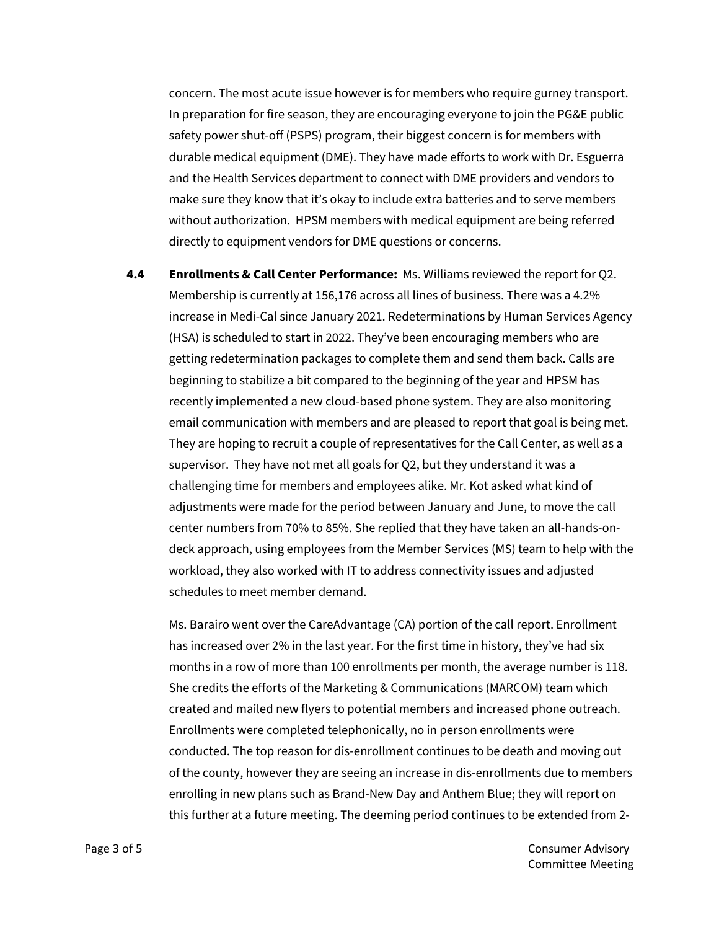concern. The most acute issue however is for members who require gurney transport. In preparation for fire season, they are encouraging everyone to join the PG&E public safety power shut-off (PSPS) program, their biggest concern is for members with durable medical equipment (DME). They have made efforts to work with Dr. Esguerra and the Health Services department to connect with DME providers and vendors to make sure they know that it's okay to include extra batteries and to serve members without authorization. HPSM members with medical equipment are being referred directly to equipment vendors for DME questions or concerns.

**4.4 Enrollments & Call Center Performance:** Ms. Williams reviewed the report for Q2. Membership is currently at 156,176 across all lines of business. There was a 4.2% increase in Medi-Cal since January 2021. Redeterminations by Human Services Agency (HSA) is scheduled to start in 2022. They've been encouraging members who are getting redetermination packages to complete them and send them back. Calls are beginning to stabilize a bit compared to the beginning of the year and HPSM has recently implemented a new cloud-based phone system. They are also monitoring email communication with members and are pleased to report that goal is being met. They are hoping to recruit a couple of representatives for the Call Center, as well as a supervisor. They have not met all goals for Q2, but they understand it was a challenging time for members and employees alike. Mr. Kot asked what kind of adjustments were made for the period between January and June, to move the call center numbers from 70% to 85%. She replied that they have taken an all-hands-ondeck approach, using employees from the Member Services (MS) team to help with the workload, they also worked with IT to address connectivity issues and adjusted schedules to meet member demand.

Ms. Barairo went over the CareAdvantage (CA) portion of the call report. Enrollment has increased over 2% in the last year. For the first time in history, they've had six months in a row of more than 100 enrollments per month, the average number is 118. She credits the efforts of the Marketing & Communications (MARCOM) team which created and mailed new flyers to potential members and increased phone outreach. Enrollments were completed telephonically, no in person enrollments were conducted. The top reason for dis-enrollment continues to be death and moving out of the county, however they are seeing an increase in dis-enrollments due to members enrolling in new plans such as Brand-New Day and Anthem Blue; they will report on this further at a future meeting. The deeming period continues to be extended from 2-

Page 3 of 5 Consumer Advisory Committee Meeting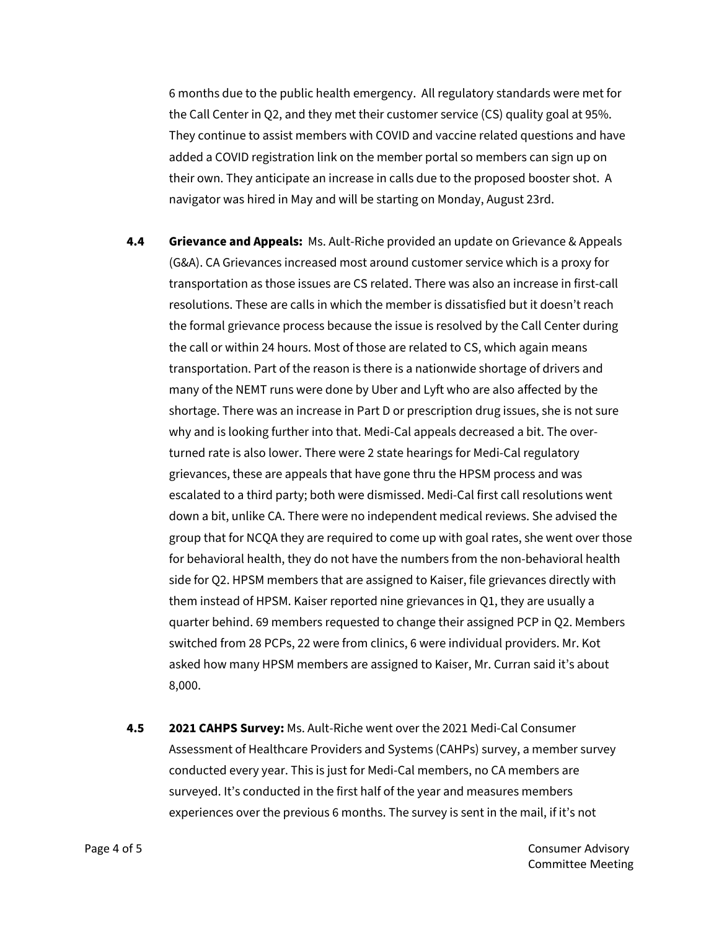6 months due to the public health emergency. All regulatory standards were met for the Call Center in Q2, and they met their customer service (CS) quality goal at 95%. They continue to assist members with COVID and vaccine related questions and have added a COVID registration link on the member portal so members can sign up on their own. They anticipate an increase in calls due to the proposed booster shot. A navigator was hired in May and will be starting on Monday, August 23rd.

- **4.4 Grievance and Appeals:** Ms. Ault-Riche provided an update on Grievance & Appeals (G&A). CA Grievances increased most around customer service which is a proxy for transportation as those issues are CS related. There was also an increase in first-call resolutions. These are calls in which the member is dissatisfied but it doesn't reach the formal grievance process because the issue is resolved by the Call Center during the call or within 24 hours. Most of those are related to CS, which again means transportation. Part of the reason is there is a nationwide shortage of drivers and many of the NEMT runs were done by Uber and Lyft who are also affected by the shortage. There was an increase in Part D or prescription drug issues, she is not sure why and is looking further into that. Medi-Cal appeals decreased a bit. The overturned rate is also lower. There were 2 state hearings for Medi-Cal regulatory grievances, these are appeals that have gone thru the HPSM process and was escalated to a third party; both were dismissed. Medi-Cal first call resolutions went down a bit, unlike CA. There were no independent medical reviews. She advised the group that for NCQA they are required to come up with goal rates, she went over those for behavioral health, they do not have the numbers from the non-behavioral health side for Q2. HPSM members that are assigned to Kaiser, file grievances directly with them instead of HPSM. Kaiser reported nine grievances in Q1, they are usually a quarter behind. 69 members requested to change their assigned PCP in Q2. Members switched from 28 PCPs, 22 were from clinics, 6 were individual providers. Mr. Kot asked how many HPSM members are assigned to Kaiser, Mr. Curran said it's about 8,000.
- **4.5 2021 CAHPS Survey:** Ms. Ault-Riche went over the 2021 Medi-Cal Consumer Assessment of Healthcare Providers and Systems (CAHPs) survey, a member survey conducted every year. This is just for Medi-Cal members, no CA members are surveyed. It's conducted in the first half of the year and measures members experiences over the previous 6 months. The survey is sent in the mail, if it's not

Page 4 of 5 Consumer Advisory Committee Meeting